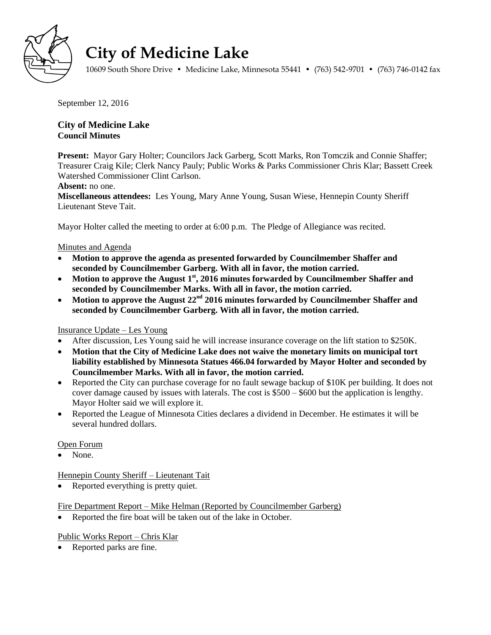

# **City of Medicine Lake**

10609 South Shore Drive • Medicine Lake, Minnesota 55441 • (763) 542-9701 • (763) 746-0142 fax

September 12, 2016

# **City of Medicine Lake Council Minutes**

**Present:** Mayor Gary Holter; Councilors Jack Garberg, Scott Marks, Ron Tomczik and Connie Shaffer; Treasurer Craig Kile; Clerk Nancy Pauly; Public Works & Parks Commissioner Chris Klar; Bassett Creek Watershed Commissioner Clint Carlson.

#### **Absent:** no one.

**Miscellaneous attendees:** Les Young, Mary Anne Young, Susan Wiese, Hennepin County Sheriff Lieutenant Steve Tait.

Mayor Holter called the meeting to order at 6:00 p.m. The Pledge of Allegiance was recited.

#### Minutes and Agenda

- **Motion to approve the agenda as presented forwarded by Councilmember Shaffer and seconded by Councilmember Garberg. With all in favor, the motion carried.**
- Motion to approve the August 1<sup>st</sup>, 2016 minutes forwarded by Councilmember Shaffer and **seconded by Councilmember Marks. With all in favor, the motion carried.**
- **Motion to approve the August 22nd 2016 minutes forwarded by Councilmember Shaffer and seconded by Councilmember Garberg. With all in favor, the motion carried.**

## Insurance Update – Les Young

- After discussion, Les Young said he will increase insurance coverage on the lift station to \$250K.
- **Motion that the City of Medicine Lake does not waive the monetary limits on municipal tort liability established by Minnesota Statues 466.04 forwarded by Mayor Holter and seconded by Councilmember Marks. With all in favor, the motion carried.**
- Reported the City can purchase coverage for no fault sewage backup of \$10K per building. It does not cover damage caused by issues with laterals. The cost is \$500 – \$600 but the application is lengthy. Mayor Holter said we will explore it.
- Reported the League of Minnesota Cities declares a dividend in December. He estimates it will be several hundred dollars.

#### Open Forum

None.

Hennepin County Sheriff – Lieutenant Tait

• Reported everything is pretty quiet.

Fire Department Report – Mike Helman (Reported by Councilmember Garberg)

• Reported the fire boat will be taken out of the lake in October.

## Public Works Report – Chris Klar

• Reported parks are fine.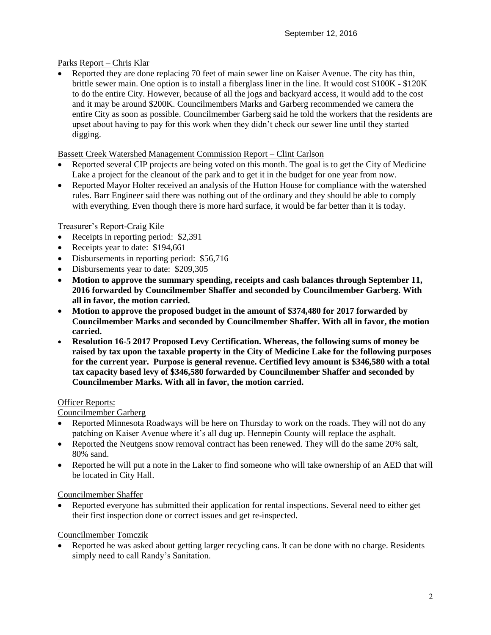## Parks Report – Chris Klar

 Reported they are done replacing 70 feet of main sewer line on Kaiser Avenue. The city has thin, brittle sewer main. One option is to install a fiberglass liner in the line. It would cost \$100K - \$120K to do the entire City. However, because of all the jogs and backyard access, it would add to the cost and it may be around \$200K. Councilmembers Marks and Garberg recommended we camera the entire City as soon as possible. Councilmember Garberg said he told the workers that the residents are upset about having to pay for this work when they didn't check our sewer line until they started digging.

## Bassett Creek Watershed Management Commission Report – Clint Carlson

- Reported several CIP projects are being voted on this month. The goal is to get the City of Medicine Lake a project for the cleanout of the park and to get it in the budget for one year from now.
- Reported Mayor Holter received an analysis of the Hutton House for compliance with the watershed rules. Barr Engineer said there was nothing out of the ordinary and they should be able to comply with everything. Even though there is more hard surface, it would be far better than it is today.

# Treasurer's Report-Craig Kile

- Receipts in reporting period: \$2,391
- Receipts year to date: \$194,661
- Disbursements in reporting period: \$56,716
- Disbursements year to date: \$209,305
- **Motion to approve the summary spending, receipts and cash balances through September 11, 2016 forwarded by Councilmember Shaffer and seconded by Councilmember Garberg. With all in favor, the motion carried.**
- **Motion to approve the proposed budget in the amount of \$374,480 for 2017 forwarded by Councilmember Marks and seconded by Councilmember Shaffer. With all in favor, the motion carried.**
- **Resolution 16-5 2017 Proposed Levy Certification. Whereas, the following sums of money be raised by tax upon the taxable property in the City of Medicine Lake for the following purposes for the current year. Purpose is general revenue. Certified levy amount is \$346,580 with a total tax capacity based levy of \$346,580 forwarded by Councilmember Shaffer and seconded by Councilmember Marks. With all in favor, the motion carried.**

## Officer Reports:

## Councilmember Garberg

- Reported Minnesota Roadways will be here on Thursday to work on the roads. They will not do any patching on Kaiser Avenue where it's all dug up. Hennepin County will replace the asphalt.
- Reported the Neutgens snow removal contract has been renewed. They will do the same 20% salt, 80% sand.
- Reported he will put a note in the Laker to find someone who will take ownership of an AED that will be located in City Hall.

## Councilmember Shaffer

 Reported everyone has submitted their application for rental inspections. Several need to either get their first inspection done or correct issues and get re-inspected.

## Councilmember Tomczik

 Reported he was asked about getting larger recycling cans. It can be done with no charge. Residents simply need to call Randy's Sanitation.